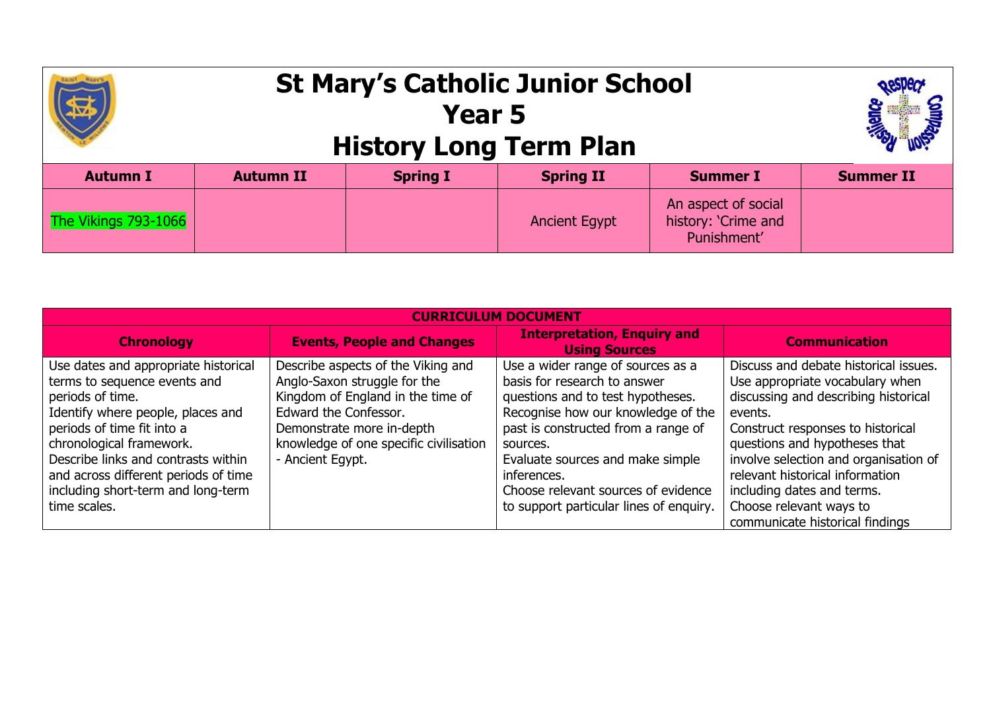|                      | <b>St Mary's Catholic Junior School</b><br><b>History Long Term Plan</b> |                 |                      |                                                           |                  |
|----------------------|--------------------------------------------------------------------------|-----------------|----------------------|-----------------------------------------------------------|------------------|
| <b>Autumn I</b>      | <b>Autumn II</b>                                                         | <b>Spring I</b> | <b>Spring II</b>     | <b>Summer I</b>                                           | <b>Summer II</b> |
| The Vikings 793-1066 |                                                                          |                 | <b>Ancient Egypt</b> | An aspect of social<br>history: 'Crime and<br>Punishment' |                  |

| CURRICULUM DOCUMENT                                                                                                                                                                                                                                                                                                          |                                                                                                                                                                                                                             |                                                                                                                                                                                                                                                                                                                                      |                                                                                                                                                                                                                                                                                                                                                                           |  |  |
|------------------------------------------------------------------------------------------------------------------------------------------------------------------------------------------------------------------------------------------------------------------------------------------------------------------------------|-----------------------------------------------------------------------------------------------------------------------------------------------------------------------------------------------------------------------------|--------------------------------------------------------------------------------------------------------------------------------------------------------------------------------------------------------------------------------------------------------------------------------------------------------------------------------------|---------------------------------------------------------------------------------------------------------------------------------------------------------------------------------------------------------------------------------------------------------------------------------------------------------------------------------------------------------------------------|--|--|
| <b>Chronology</b>                                                                                                                                                                                                                                                                                                            | <b>Events, People and Changes</b>                                                                                                                                                                                           | <b>Interpretation, Enquiry and</b><br><b>Using Sources</b>                                                                                                                                                                                                                                                                           | <b>Communication</b>                                                                                                                                                                                                                                                                                                                                                      |  |  |
| Use dates and appropriate historical<br>terms to sequence events and<br>periods of time.<br>Identify where people, places and<br>periods of time fit into a<br>chronological framework.<br>Describe links and contrasts within<br>and across different periods of time<br>including short-term and long-term<br>time scales. | Describe aspects of the Viking and<br>Anglo-Saxon struggle for the<br>Kingdom of England in the time of<br>Edward the Confessor.<br>Demonstrate more in-depth<br>knowledge of one specific civilisation<br>- Ancient Egypt. | Use a wider range of sources as a<br>basis for research to answer<br>questions and to test hypotheses.<br>Recognise how our knowledge of the<br>past is constructed from a range of<br>sources.<br>Evaluate sources and make simple<br>inferences.<br>Choose relevant sources of evidence<br>to support particular lines of enquiry. | Discuss and debate historical issues.<br>Use appropriate vocabulary when<br>discussing and describing historical<br>events.<br>Construct responses to historical<br>questions and hypotheses that<br>involve selection and organisation of<br>relevant historical information<br>including dates and terms.<br>Choose relevant ways to<br>communicate historical findings |  |  |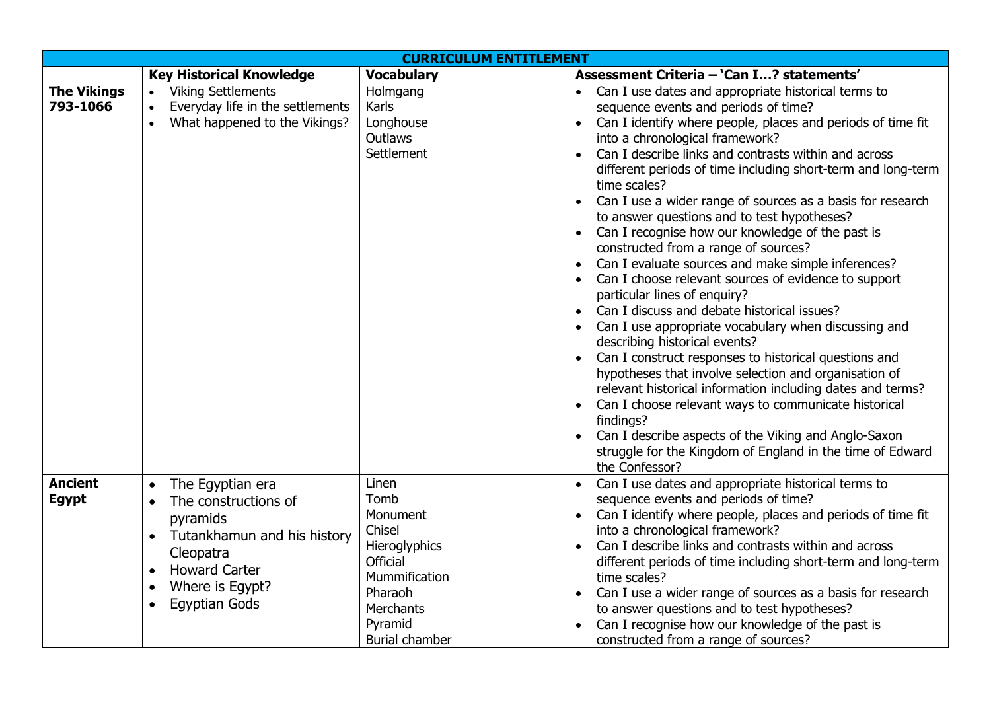| <b>CURRICULUM ENTITLEMENT</b>  |                                                                                                                                                                                                            |                                                                                                                                                             |                                                                                                                                                                                                                                                                                                                                                                                                                                                                                                                                                                                                                                                                                                                                                                                                                                                                                                                                                                                                                                                                                                                                                                                                                                  |  |
|--------------------------------|------------------------------------------------------------------------------------------------------------------------------------------------------------------------------------------------------------|-------------------------------------------------------------------------------------------------------------------------------------------------------------|----------------------------------------------------------------------------------------------------------------------------------------------------------------------------------------------------------------------------------------------------------------------------------------------------------------------------------------------------------------------------------------------------------------------------------------------------------------------------------------------------------------------------------------------------------------------------------------------------------------------------------------------------------------------------------------------------------------------------------------------------------------------------------------------------------------------------------------------------------------------------------------------------------------------------------------------------------------------------------------------------------------------------------------------------------------------------------------------------------------------------------------------------------------------------------------------------------------------------------|--|
|                                | <b>Key Historical Knowledge</b>                                                                                                                                                                            | <b>Vocabulary</b>                                                                                                                                           | Assessment Criteria - 'Can I? statements'                                                                                                                                                                                                                                                                                                                                                                                                                                                                                                                                                                                                                                                                                                                                                                                                                                                                                                                                                                                                                                                                                                                                                                                        |  |
| <b>The Vikings</b><br>793-1066 | <b>Viking Settlements</b><br>$\bullet$<br>Everyday life in the settlements<br>$\bullet$<br>What happened to the Vikings?                                                                                   | Holmgang<br>Karls<br>Longhouse<br><b>Outlaws</b><br>Settlement                                                                                              | Can I use dates and appropriate historical terms to<br>sequence events and periods of time?<br>Can I identify where people, places and periods of time fit<br>into a chronological framework?<br>Can I describe links and contrasts within and across<br>different periods of time including short-term and long-term<br>time scales?<br>Can I use a wider range of sources as a basis for research<br>to answer questions and to test hypotheses?<br>Can I recognise how our knowledge of the past is<br>constructed from a range of sources?<br>Can I evaluate sources and make simple inferences?<br>Can I choose relevant sources of evidence to support<br>particular lines of enquiry?<br>Can I discuss and debate historical issues?<br>Can I use appropriate vocabulary when discussing and<br>describing historical events?<br>Can I construct responses to historical questions and<br>hypotheses that involve selection and organisation of<br>relevant historical information including dates and terms?<br>Can I choose relevant ways to communicate historical<br>findings?<br>Can I describe aspects of the Viking and Anglo-Saxon<br>struggle for the Kingdom of England in the time of Edward<br>the Confessor? |  |
| <b>Ancient</b><br><b>Egypt</b> | The Egyptian era<br>The constructions of<br>$\bullet$<br>pyramids<br>Tutankhamun and his history<br>$\bullet$<br>Cleopatra<br><b>Howard Carter</b><br>Where is Egypt?<br><b>Egyptian Gods</b><br>$\bullet$ | Linen<br>Tomb<br>Monument<br>Chisel<br>Hieroglyphics<br><b>Official</b><br>Mummification<br>Pharaoh<br><b>Merchants</b><br>Pyramid<br><b>Burial chamber</b> | Can I use dates and appropriate historical terms to<br>sequence events and periods of time?<br>Can I identify where people, places and periods of time fit<br>$\bullet$<br>into a chronological framework?<br>Can I describe links and contrasts within and across<br>different periods of time including short-term and long-term<br>time scales?<br>Can I use a wider range of sources as a basis for research<br>to answer questions and to test hypotheses?<br>Can I recognise how our knowledge of the past is<br>constructed from a range of sources?                                                                                                                                                                                                                                                                                                                                                                                                                                                                                                                                                                                                                                                                      |  |